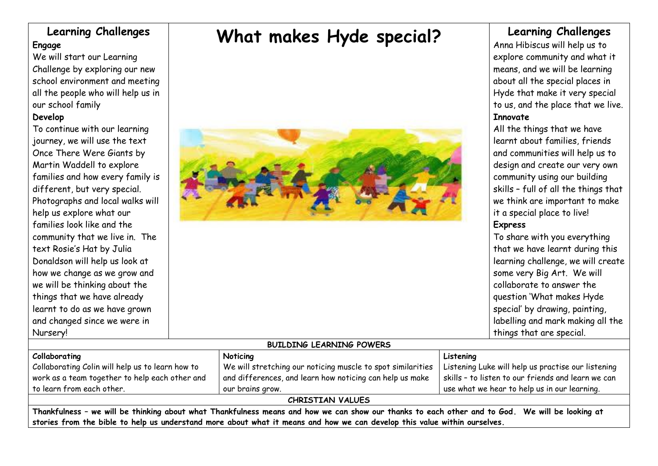## **Learning Challenges Engage**

We will start our Learning Challenge by exploring our new school environment and meeting all the people who will help us in our school family

## **Develop**

To continue with our learning journey, we will use the text Once There Were Giants by Martin Waddell to explore families and how every family is different, but very special. Photographs and local walks will help us explore what our families look like and the community that we live in. The text Rosie's Hat by Julia Donaldson will help us look at how we change as we grow and we will be thinking about the things that we have already learnt to do as we have grown and changed since we were in Nursery!

# **What makes Hyde special?**



## **Learning Challenges**

Anna Hibiscus will help us to explore community and what it means, and we will be learning about all the special places in Hyde that make it very special to us, and the place that we live. **Innovate**

All the things that we have learnt about families, friends and communities will help us to design and create our very own community using our building skills – full of all the things that we think are important to make it a special place to live!

## **Express**

To share with you everything that we have learnt during this learning challenge, we will create some very Big Art. We will collaborate to answer the question 'What makes Hyde special' by drawing, painting, labelling and mark making all the things that are special.

### **Collaborating** Collaborating Colin will help us to learn how to work as a team together to help each other and to learn from each other.

We will stretching our noticing muscle to spot similarities and differences, and learn how noticing can help us make our brains grow.

Listening Luke will help us practise our listening skills – to listen to our friends and learn we can use what we hear to help us in our learning.

### **CHRISTIAN VALUES**

**Thankfulness – we will be thinking about what Thankfulness means and how we can show our thanks to each other and to God. We will be looking at stories from the bible to help us understand more about what it means and how we can develop this value within ourselves.**